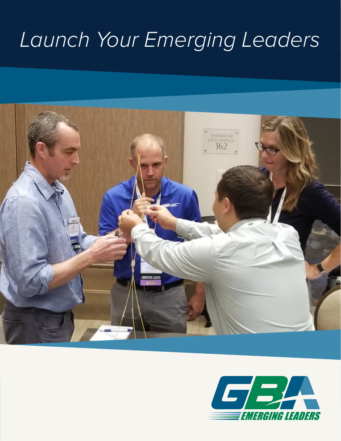# Launch Your Emerging Leaders



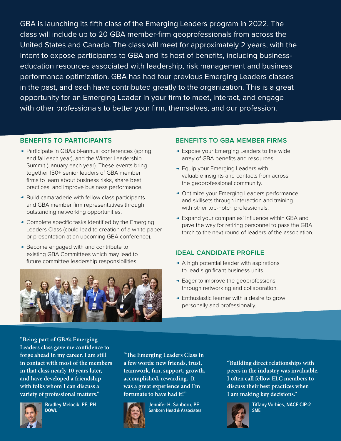GBA is launching its fifth class of the Emerging Leaders program in 2022. The class will include up to 20 GBA member-firm geoprofessionals from across the United States and Canada. The class will meet for approximately 2 years, with the intent to expose participants to GBA and its host of benefits, including businesseducation resources associated with leadership, risk management and business performance optimization. GBA has had four previous Emerging Leaders classes in the past, and each have contributed greatly to the organization. This is a great opportunity for an Emerging Leader in your firm to meet, interact, and engage with other professionals to better your firm, themselves, and our profession.

#### **BENEFITS TO PARTICIPANTS**

- Participate in GBA's bi-annual conferences (spring and fall each year), and the Winter Leadership Summit (January each year). These events bring together 150+ senior leaders of GBA member firms to learn about business risks, share best practices, and improve business performance.
- ► Build camaraderie with fellow class participants and GBA member firm representatives through outstanding networking opportunities.
- **Complete specific tasks identified by the Emerging** Leaders Class (could lead to creation of a white paper or presentation at an upcoming GBA conference).
- ► Become engaged with and contribute to existing GBA Committees which may lead to future committee leadership responsibilities.



#### **BENEFITS TO GBA MEMBER FIRMS**

- Expose your Emerging Leaders to the wide array of GBA benefits and resources.
- Equip your Emerging Leaders with valuable insights and contacts from across the geoprofessional community.
- Optimize your Emerging Leaders performance and skillsets through interaction and training with other top-notch professionals.
- Expand your companies' influence within GBA and pave the way for retiring personnel to pass the GBA torch to the next round of leaders of the association.

### **IDEAL CANDIDATE PROFILE**

- A high potential leader with aspirations to lead significant business units.
- Eager to improve the geoprofessions through networking and collaboration.
- Enthusiastic learner with a desire to grow personally and professionally.

**"Being part of GBA's Emerging Leaders class gave me confidence to forge ahead in my career. I am still in contact with most of the members in that class nearly 10 years later, and have developed a friendship with folks whom I can discuss a variety of professional matters."**



**Bradley Melocik, PE, PH DOWL**

**"The Emerging Leaders Class in a few words: new friends, trust, teamwork, fun, support, growth, accomplished, rewarding. It was a great experience and I'm fortunate to have had it!"**



**Jennifer H. Sanborn, PE Sanborn Head & Associates** **"Building direct relationships with peers in the industry was invaluable. I often call fellow ELC members to discuss their best practices when I am making key decisions."**



**Tiffany Vorhies, NACE CIP-2 SME**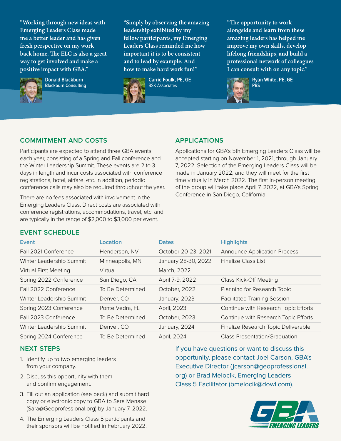**"Working through new ideas with Emerging Leaders Class made me a better leader and has given fresh perspective on my work back home. The ELC is also a great way to get involved and make a positive impact with GBA."**



**Donald Blackburn Blackburn Consulting** **"Simply by observing the amazing leadership exhibited by my fellow participants, my Emerging Leaders Class reminded me how important it is to be consistent and to lead by example. And how to make hard work fun!"**



**Carrie Foulk, PE, GE** BSK Associates

**"The opportunity to work alongside and learn from these amazing leaders has helped me improve my own skills, develop lifelong friendships, and build a professional network of colleagues I can consult with on any topic."**



**Ryan White, PE, GE**

## **COMMITMENT AND COSTS**

Participants are expected to attend three GBA events each year, consisting of a Spring and Fall conference and the Winter Leadership Summit. These events are 2 to 3 days in length and incur costs associated with conference registrations, hotel, airfare, etc. In addition, periodic conference calls may also be required throughout the year.

There are no fees associated with involvement in the Emerging Leaders Class. Direct costs are associated with conference registrations, accommodations, travel, etc. and are typically in the range of \$2,000 to \$3,000 per event.

#### **APPLICATIONS**

Applications for GBA's 5th Emerging Leaders Class will be accepted starting on November 1, 2021, through January 7, 2022. Selection of the Emerging Leaders Class will be made in January 2022, and they will meet for the first time virtually in March 2022. The first in-person meeting of the group will take place April 7, 2022, at GBA's Spring Conference in San Diego, California.

### **EVENT SCHEDULE**

| Event                        | Location         | <b>Dates</b>        | <b>Highlights</b>                    |
|------------------------------|------------------|---------------------|--------------------------------------|
| Fall 2021 Conference         | Henderson, NV    | October 20-23, 2021 | <b>Announce Application Process</b>  |
| Winter Leadership Summit     | Minneapolis, MN  | January 28-30, 2022 | <b>Finalize Class List</b>           |
| <b>Virtual First Meeting</b> | Virtual          | March, 2022         |                                      |
| Spring 2022 Conference       | San Diego, CA    | April 7-9, 2022     | Class Kick-Off Meeting               |
| Fall 2022 Conference         | To Be Determined | October, 2022       | Planning for Research Topic          |
| Winter Leadership Summit     | Denver, CO       | January, 2023       | <b>Facilitated Training Session</b>  |
| Spring 2023 Conference       | Ponte Vedra, FL  | April, 2023         | Continue with Research Topic Efforts |
| Fall 2023 Conference         | To Be Determined | October, 2023       | Continue with Research Topic Efforts |
| Winter Leadership Summit     | Denver, CO       | January, 2024       | Finalize Research Topic Deliverable  |
| Spring 2024 Conference       | To Be Determined | April, 2024         | Class Presentation/Graduation        |

### **NEXT STEPS**

- 1. Identify up to two emerging leaders from your company.
- 2. Discuss this opportunity with them and confirm engagement.
- 3. Fill out an application (see back) and submit hard copy or electronic copy to GBA to Sara Menase (Sara@Geoprofessional.org) by January 7, 2022.

If you have questions or want to discuss this opportunity, please contact Joel Carson, GBA's Executive Director (jcarson@geoprofessional. org) or Brad Melocik, Emerging Leaders Class 5 Facilitator (bmelocik@dowl.com).



4. The Emerging Leaders Class 5 participants and their sponsors will be notified in February 2022.